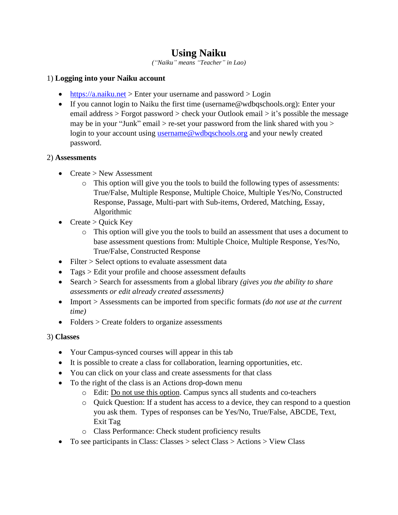# **Using Naiku**

*("Naiku" means "Teacher" in Lao)*

# 1) **Logging into your Naiku account**

- [https://a.naiku.net](https://a.naiku.net/) > Enter your username and password > Login
- If you cannot login to Naiku the first time (username@wdbqschools.org): Enter your email address > Forgot password > check your Outlook email > it's possible the message may be in your "Junk" email  $>$  re-set your password from the link shared with you  $>$ login to your account using [username@wdbqschools.org](mailto:username@wdbqschools.org) and your newly created password.

# 2) **Assessments**

- Create > New Assessment
	- o This option will give you the tools to build the following types of assessments: True/False, Multiple Response, Multiple Choice, Multiple Yes/No, Constructed Response, Passage, Multi-part with Sub-items, Ordered, Matching, Essay, Algorithmic
- Create > Quick Key
	- o This option will give you the tools to build an assessment that uses a document to base assessment questions from: Multiple Choice, Multiple Response, Yes/No, True/False, Constructed Response
- Filter > Select options to evaluate assessment data
- Tags > Edit your profile and choose assessment defaults
- Search > Search for assessments from a global library *(gives you the ability to share assessments or edit already created assessments)*
- Import > Assessments can be imported from specific formats *(do not use at the current time)*
- Folders > Create folders to organize assessments

# 3) **Classes**

- Your Campus-synced courses will appear in this tab
- It is possible to create a class for collaboration, learning opportunities, etc.
- You can click on your class and create assessments for that class
- To the right of the class is an Actions drop-down menu
	- o Edit: Do not use this option. Campus syncs all students and co-teachers
	- $\circ$  Quick Question: If a student has access to a device, they can respond to a question you ask them. Types of responses can be Yes/No, True/False, ABCDE, Text, Exit Tag
	- o Class Performance: Check student proficiency results
- To see participants in Class: Classes > select Class > Actions > View Class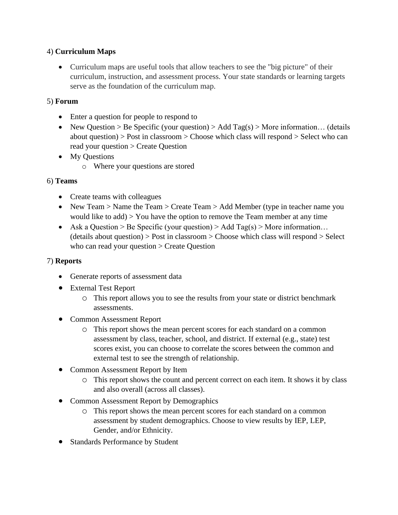#### 4) **Curriculum Maps**

• Curriculum maps are useful tools that allow teachers to see the "big picture" of their curriculum, instruction, and assessment process. Your state standards or learning targets serve as the foundation of the curriculum map.

#### 5) **Forum**

- Enter a question for people to respond to
- New Question > Be Specific (your question) > Add Tag(s) > More information... (details about question) > Post in classroom > Choose which class will respond > Select who can read your question > Create Question
- My Ouestions
	- o Where your questions are stored

#### 6) **Teams**

- Create teams with colleagues
- New Team > Name the Team > Create Team > Add Member (type in teacher name you would like to add) > You have the option to remove the Team member at any time
- Ask a Question > Be Specific (your question) > Add Tag(s) > More information...  $(details about question) > Post in classroom > Choose which class will respond > Select$ who can read your question > Create Question

# 7) **Reports**

- Generate reports of assessment data
- External Test Report
	- o This report allows you to see the results from your state or district benchmark assessments.
- Common Assessment Report
	- o This report shows the mean percent scores for each standard on a common assessment by class, teacher, school, and district. If external (e.g., state) test scores exist, you can choose to correlate the scores between the common and external test to see the strength of relationship.
- Common Assessment Report by Item
	- o This report shows the count and percent correct on each item. It shows it by class and also overall (across all classes).
- Common Assessment Report by Demographics
	- o This report shows the mean percent scores for each standard on a common assessment by student demographics. Choose to view results by IEP, LEP, Gender, and/or Ethnicity.
- Standards Performance by Student